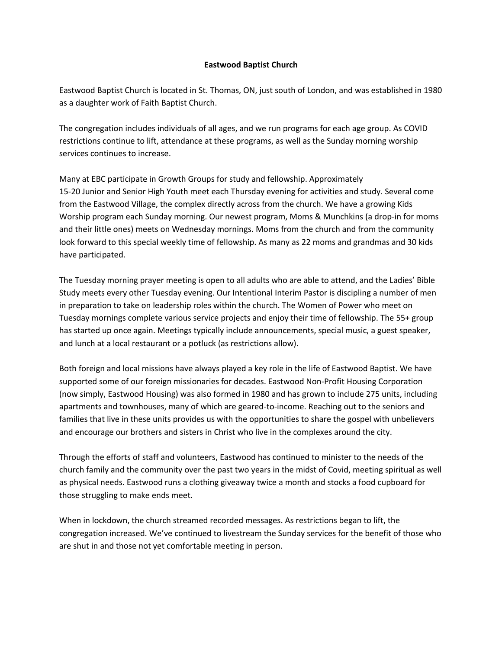## **Eastwood Baptist Church**

Eastwood Baptist Church is located in St. Thomas, ON, just south of London, and was established in 1980 as a daughter work of Faith Baptist Church.

The congregation includes individuals of all ages, and we run programs for each age group. As COVID restrictions continue to lift, attendance at these programs, as well as the Sunday morning worship services continues to increase.

Many at EBC participate in Growth Groups for study and fellowship. Approximately 15-20 Junior and Senior High Youth meet each Thursday evening for activities and study. Several come from the Eastwood Village, the complex directly across from the church. We have a growing Kids Worship program each Sunday morning. Our newest program, Moms & Munchkins (a drop-in for moms and their little ones) meets on Wednesday mornings. Moms from the church and from the community look forward to this special weekly time of fellowship. As many as 22 moms and grandmas and 30 kids have participated.

The Tuesday morning prayer meeting is open to all adults who are able to attend, and the Ladies' Bible Study meets every other Tuesday evening. Our Intentional Interim Pastor is discipling a number of men in preparation to take on leadership roles within the church. The Women of Power who meet on Tuesday mornings complete various service projects and enjoy their time of fellowship. The 55+ group has started up once again. Meetings typically include announcements, special music, a guest speaker, and lunch at a local restaurant or a potluck (as restrictions allow).

Both foreign and local missions have always played a key role in the life of Eastwood Baptist. We have supported some of our foreign missionaries for decades. Eastwood Non-Profit Housing Corporation (now simply, Eastwood Housing) was also formed in 1980 and has grown to include 275 units, including apartments and townhouses, many of which are geared-to-income. Reaching out to the seniors and families that live in these units provides us with the opportunities to share the gospel with unbelievers and encourage our brothers and sisters in Christ who live in the complexes around the city.

Through the efforts of staff and volunteers, Eastwood has continued to minister to the needs of the church family and the community over the past two years in the midst of Covid, meeting spiritual as well as physical needs. Eastwood runs a clothing giveaway twice a month and stocks a food cupboard for those struggling to make ends meet.

When in lockdown, the church streamed recorded messages. As restrictions began to lift, the congregation increased. We've continued to livestream the Sunday services for the benefit of those who are shut in and those not yet comfortable meeting in person.